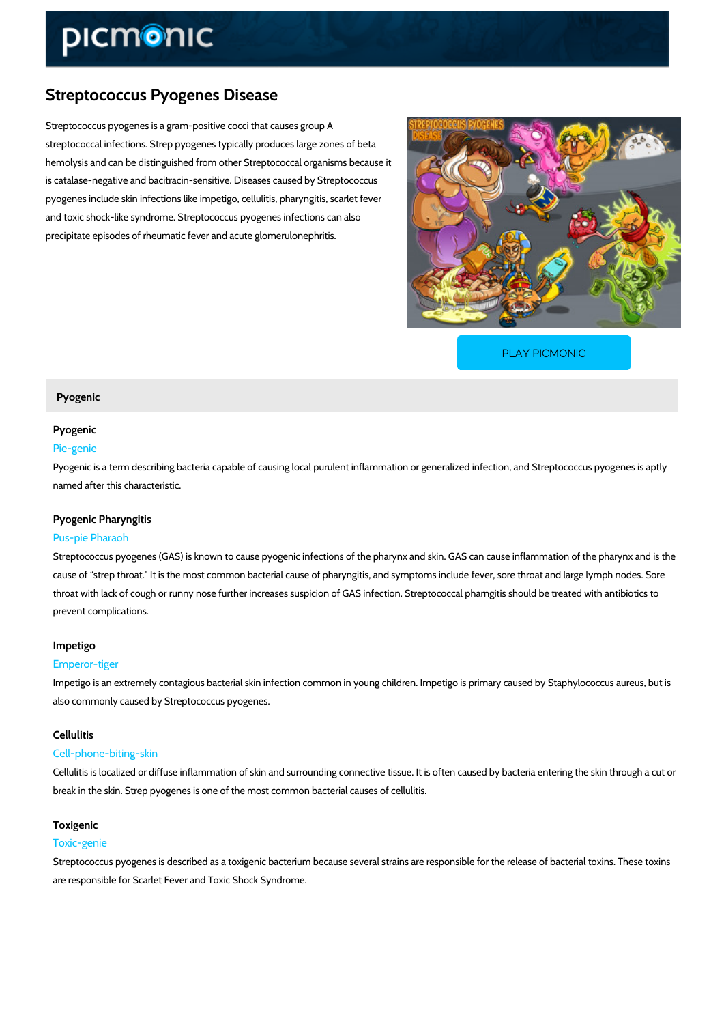# Streptococcus Pyogenes Disease

Streptococcus pyogenes is a gram-positive cocci that causes group A streptococcal infections. Strep pyogenes typically produces large zones of beta hemolysis and can be distinguished from other Streptococcal organisms because it is catalase-negative and bacitracin-sensitive. Diseases caused by Streptococcus pyogenes include skin infections like impetigo, cellulitis, pharyngitis, scarlet fever and toxic shock-like syndrome. Streptococcus pyogenes infections can also precipitate episodes of rheumatic fever and acute glomerulonephritis.

[PLAY PICMONIC](https://www.picmonic.com/learn/streptococcus-pyogenes-disease_2682?utm_source=downloadable_content&utm_medium=distributedcontent&utm_campaign=pathways_pdf&utm_content=Streptococcus Pyogenes Disease&utm_ad_group=leads&utm_market=all)

# Pyogenic

# Pyogenic

## Pie-genie

Pyogenic is a term describing bacteria capable of causing local purulent inflammation or gene named after this characteristic.

## Pyogenic Pharyngitis

# Pus-pie Pharaoh

Streptococcus pyogenes (GAS) is known to cause pyogenic infections of the pharynx and skin. cause of strep throat." It is the most common bacterial cause of pharyngitis, and symptoms in throat with lack of cough or runny nose further increases suspicion of GAS infection. Streptoc prevent complications.

# Impetigo

## Emperor-tiger

Impetigo is an extremely contagious bacterial skin infection common in young children. Impeti also commonly caused by Streptococcus pyogenes.

## Cellulitis

#### Cell-phone-biting-skin

Cellulitis is localized or diffuse inflammation of skin and surrounding connective tissue. It is break in the skin. Strep pyogenes is one of the most common bacterial causes of cellulitis.

# Toxigenic

# Toxic-genie

Streptococcus pyogenes is described as a toxigenic bacterium because several strains are res are responsible for Scarlet Fever and Toxic Shock Syndrome.